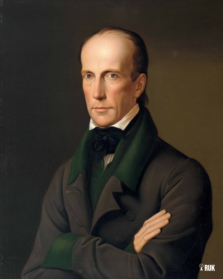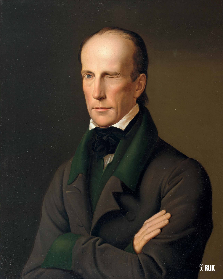